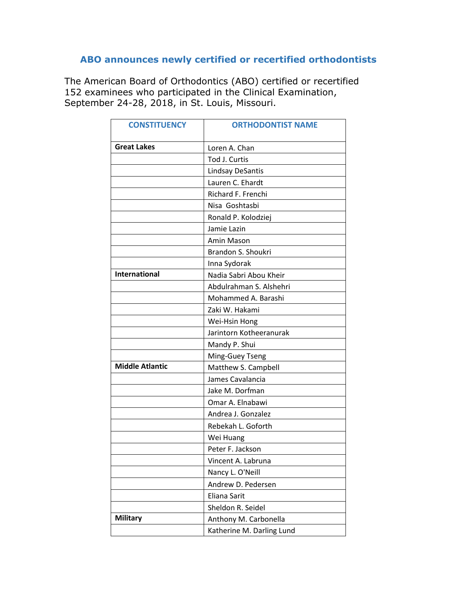## **ABO announces newly certified or recertified orthodontists**

The American Board of Orthodontics (ABO) certified or recertified 152 examinees who participated in the Clinical Examination, September 24-28, 2018, in St. Louis, Missouri.

| <b>CONSTITUENCY</b>    | <b>ORTHODONTIST NAME</b>  |
|------------------------|---------------------------|
| <b>Great Lakes</b>     | Loren A. Chan             |
|                        | Tod J. Curtis             |
|                        | Lindsay DeSantis          |
|                        | Lauren C. Ehardt          |
|                        | Richard F. Frenchi        |
|                        | Nisa Goshtasbi            |
|                        | Ronald P. Kolodziej       |
|                        | Jamie Lazin               |
|                        | Amin Mason                |
|                        | Brandon S. Shoukri        |
|                        | Inna Sydorak              |
| <b>International</b>   | Nadia Sabri Abou Kheir    |
|                        | Abdulrahman S. Alshehri   |
|                        | Mohammed A. Barashi       |
|                        | Zaki W. Hakami            |
|                        | Wei-Hsin Hong             |
|                        | Jarintorn Kotheeranurak   |
|                        | Mandy P. Shui             |
|                        | Ming-Guey Tseng           |
| <b>Middle Atlantic</b> | Matthew S. Campbell       |
|                        | James Cavalancia          |
|                        | Jake M. Dorfman           |
|                        | Omar A. Elnabawi          |
|                        | Andrea J. Gonzalez        |
|                        | Rebekah L. Goforth        |
|                        | Wei Huang                 |
|                        | Peter F. Jackson          |
|                        | Vincent A. Labruna        |
|                        | Nancy L. O'Neill          |
|                        | Andrew D. Pedersen        |
|                        | Eliana Sarit              |
|                        | Sheldon R. Seidel         |
| <b>Military</b>        | Anthony M. Carbonella     |
|                        | Katherine M. Darling Lund |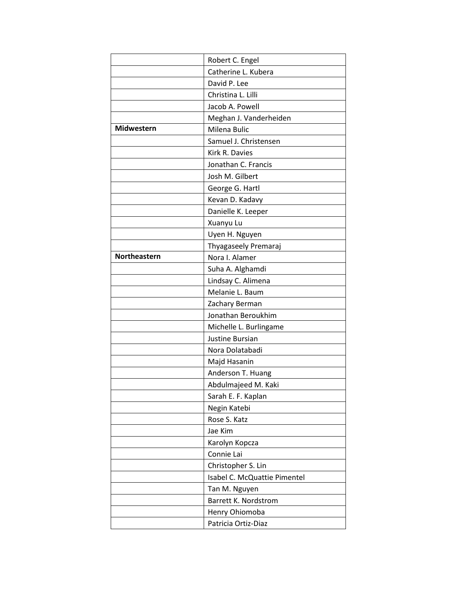|              | Robert C. Engel              |
|--------------|------------------------------|
|              | Catherine L. Kubera          |
|              | David P. Lee                 |
|              | Christina L. Lilli           |
|              | Jacob A. Powell              |
|              | Meghan J. Vanderheiden       |
| Midwestern   | Milena Bulic                 |
|              | Samuel J. Christensen        |
|              | Kirk R. Davies               |
|              | Jonathan C. Francis          |
|              | Josh M. Gilbert              |
|              | George G. Hartl              |
|              | Kevan D. Kadavy              |
|              | Danielle K. Leeper           |
|              | Xuanyu Lu                    |
|              | Uyen H. Nguyen               |
|              | Thyagaseely Premaraj         |
| Northeastern | Nora I. Alamer               |
|              | Suha A. Alghamdi             |
|              | Lindsay C. Alimena           |
|              | Melanie L. Baum              |
|              | Zachary Berman               |
|              | Jonathan Beroukhim           |
|              | Michelle L. Burlingame       |
|              | Justine Bursian              |
|              | Nora Dolatabadi              |
|              | Majd Hasanin                 |
|              | Anderson T. Huang            |
|              | Abdulmajeed M. Kaki          |
|              | Sarah E. F. Kaplan           |
|              | Negin Katebi                 |
|              | Rose S. Katz                 |
|              | Jae Kim                      |
|              | Karolyn Kopcza               |
|              | Connie Lai                   |
|              | Christopher S. Lin           |
|              | Isabel C. McQuattie Pimentel |
|              | Tan M. Nguyen                |
|              | Barrett K. Nordstrom         |
|              | Henry Ohiomoba               |
|              | Patricia Ortiz-Diaz          |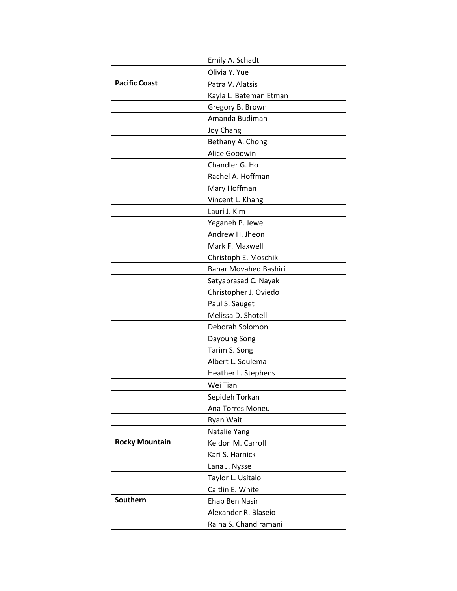|                       | Emily A. Schadt              |
|-----------------------|------------------------------|
|                       | Olivia Y. Yue                |
| <b>Pacific Coast</b>  | Patra V. Alatsis             |
|                       | Kayla L. Bateman Etman       |
|                       | Gregory B. Brown             |
|                       | Amanda Budiman               |
|                       | Joy Chang                    |
|                       | Bethany A. Chong             |
|                       | Alice Goodwin                |
|                       | Chandler G. Ho               |
|                       | Rachel A. Hoffman            |
|                       | Mary Hoffman                 |
|                       | Vincent L. Khang             |
|                       | Lauri J. Kim                 |
|                       | Yeganeh P. Jewell            |
|                       | Andrew H. Jheon              |
|                       | Mark F. Maxwell              |
|                       | Christoph E. Moschik         |
|                       | <b>Bahar Movahed Bashiri</b> |
|                       | Satyaprasad C. Nayak         |
|                       | Christopher J. Oviedo        |
|                       | Paul S. Sauget               |
|                       | Melissa D. Shotell           |
|                       | Deborah Solomon              |
|                       | Dayoung Song                 |
|                       | Tarim S. Song                |
|                       | Albert L. Soulema            |
|                       | Heather L. Stephens          |
|                       | Wei Tian                     |
|                       | Sepideh Torkan               |
|                       | Ana Torres Moneu             |
|                       | Ryan Wait                    |
|                       | Natalie Yang                 |
| <b>Rocky Mountain</b> | Keldon M. Carroll            |
|                       | Kari S. Harnick              |
|                       | Lana J. Nysse                |
|                       | Taylor L. Usitalo            |
|                       | Caitlin E. White             |
| Southern              | Ehab Ben Nasir               |
|                       | Alexander R. Blaseio         |
|                       | Raina S. Chandiramani        |